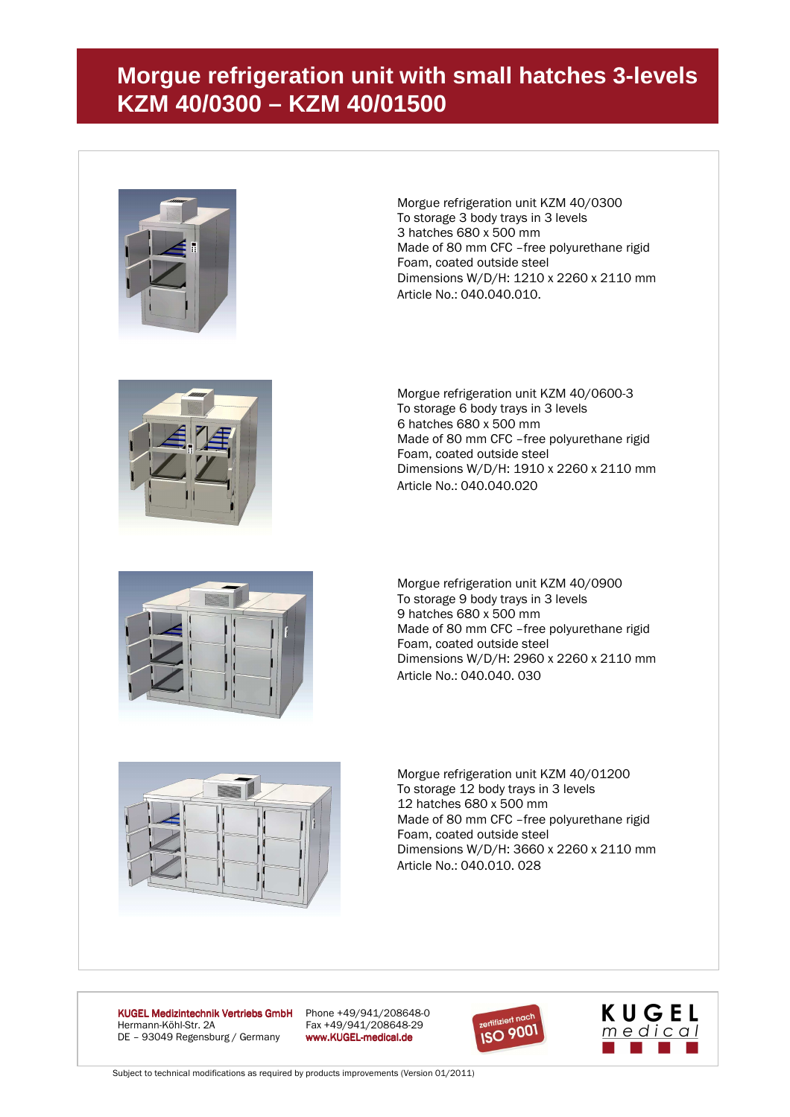## **Morgue refrigeration unit with small hatches 3-levels KZM 40/0300 – KZM 40/01500**



Morgue refrigeration unit KZM 40/0300 To storage 3 body trays in 3 levels 3 hatches 680 x 500 mm Made of 80 mm CFC –free polyurethane rigid Foam, coated outside steel Dimensions W/D/H: 1210 x 2260 x 2110 mm Article No.: 040.040.010.



Morgue refrigeration unit KZM 40/0600-3 To storage 6 body trays in 3 levels 6 hatches 680 x 500 mm Made of 80 mm CFC –free polyurethane rigid Foam, coated outside steel Dimensions W/D/H: 1910 x 2260 x 2110 mm Article No.: 040.040.020



Morgue refrigeration unit KZM 40/0900 To storage 9 body trays in 3 levels 9 hatches 680 x 500 mm Made of 80 mm CFC –free polyurethane rigid Foam, coated outside steel Dimensions W/D/H: 2960 x 2260 x 2110 mm Article No.: 040.040. 030



Morgue refrigeration unit KZM 40/01200 To storage 12 body trays in 3 levels 12 hatches 680 x 500 mm Made of 80 mm CFC –free polyurethane rigid Foam, coated outside steel Dimensions W/D/H: 3660 x 2260 x 2110 mm Article No.: 040.010. 028

KUGEL Medizintechnik Vertriebs GmbH Phone +49/941/208648-0<br>Hermann-Köhl-Str. 2A Fax +49/941/208648-29 DE - 93049 Regensburg / Germany www.KUGEL-medical.de

Fax +49/941/208648-29





Subject to technical modifications as required by products improvements (Version 01/2011)